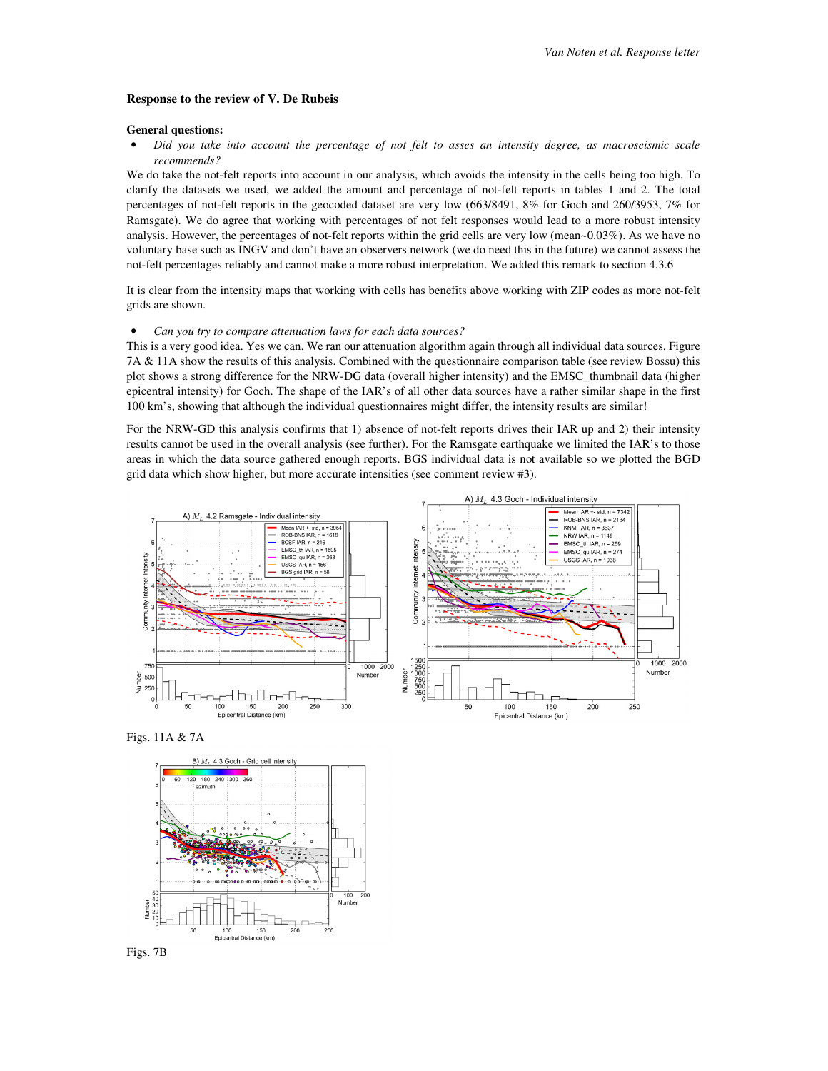#### **Response to the review of V. De Rubeis**

### **General questions:**

• *Did you take into account the percentage of not felt to asses an intensity degree, as macroseismic scale recommends?* 

We do take the not-felt reports into account in our analysis, which avoids the intensity in the cells being too high. To clarify the datasets we used, we added the amount and percentage of not-felt reports in tables 1 and 2. The total percentages of not-felt reports in the geocoded dataset are very low (663/8491, 8% for Goch and 260/3953, 7% for Ramsgate). We do agree that working with percentages of not felt responses would lead to a more robust intensity analysis. However, the percentages of not-felt reports within the grid cells are very low (mean~0.03%). As we have no voluntary base such as INGV and don't have an observers network (we do need this in the future) we cannot assess the not-felt percentages reliably and cannot make a more robust interpretation. We added this remark to section 4.3.6

It is clear from the intensity maps that working with cells has benefits above working with ZIP codes as more not-felt grids are shown.

### • *Can you try to compare attenuation laws for each data sources?*

This is a very good idea. Yes we can. We ran our attenuation algorithm again through all individual data sources. Figure 7A & 11A show the results of this analysis. Combined with the questionnaire comparison table (see review Bossu) this plot shows a strong difference for the NRW-DG data (overall higher intensity) and the EMSC\_thumbnail data (higher epicentral intensity) for Goch. The shape of the IAR's of all other data sources have a rather similar shape in the first 100 km's, showing that although the individual questionnaires might differ, the intensity results are similar!

For the NRW-GD this analysis confirms that 1) absence of not-felt reports drives their IAR up and 2) their intensity results cannot be used in the overall analysis (see further). For the Ramsgate earthquake we limited the IAR's to those areas in which the data source gathered enough reports. BGS individual data is not available so we plotted the BGD grid data which show higher, but more accurate intensities (see comment review #3).



Figs. 11A & 7A



Figs. 7B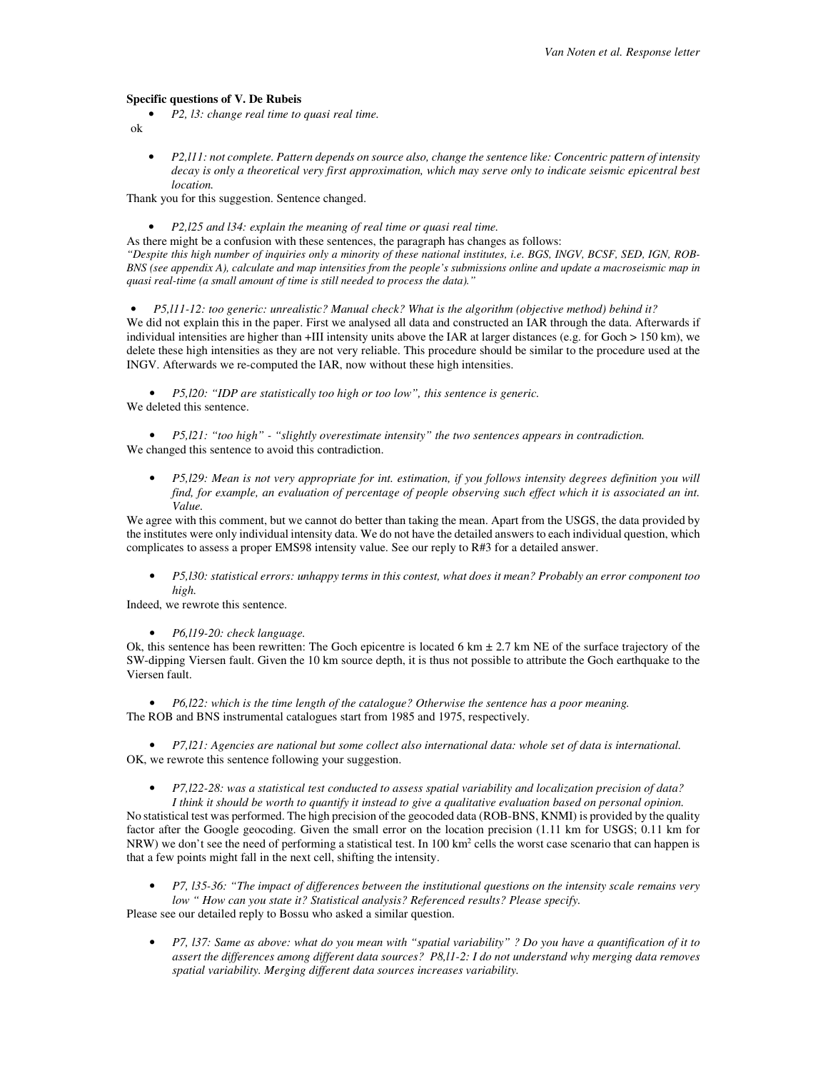#### **Specific questions of V. De Rubeis**

• *P2, l3: change real time to quasi real time.* 

ok

• *P2,l11: not complete. Pattern depends on source also, change the sentence like: Concentric pattern of intensity decay is only a theoretical very first approximation, which may serve only to indicate seismic epicentral best location.*

Thank you for this suggestion. Sentence changed.

• *P2,l25 and l34: explain the meaning of real time or quasi real time.* 

As there might be a confusion with these sentences, the paragraph has changes as follows:

*"Despite this high number of inquiries only a minority of these national institutes, i.e. BGS, INGV, BCSF, SED, IGN, ROB-BNS (see appendix A), calculate and map intensities from the people's submissions online and update a macroseismic map in quasi real-time (a small amount of time is still needed to process the data)."*

• *P5,l11-12: too generic: unrealistic? Manual check? What is the algorithm (objective method) behind it?* We did not explain this in the paper. First we analysed all data and constructed an IAR through the data. Afterwards if individual intensities are higher than +III intensity units above the IAR at larger distances (e.g. for Goch > 150 km), we delete these high intensities as they are not very reliable. This procedure should be similar to the procedure used at the INGV. Afterwards we re-computed the IAR, now without these high intensities.

• *P5,l20: "IDP are statistically too high or too low", this sentence is generic.*  We deleted this sentence.

• *P5,l21: "too high" - "slightly overestimate intensity" the two sentences appears in contradiction.*  We changed this sentence to avoid this contradiction.

• *P5,l29: Mean is not very appropriate for int. estimation, if you follows intensity degrees definition you will find, for example, an evaluation of percentage of people observing such effect which it is associated an int. Value.* 

We agree with this comment, but we cannot do better than taking the mean. Apart from the USGS, the data provided by the institutes were only individual intensity data. We do not have the detailed answers to each individual question, which complicates to assess a proper EMS98 intensity value. See our reply to R#3 for a detailed answer.

• *P5,l30: statistical errors: unhappy terms in this contest, what does it mean? Probably an error component too high.* 

Indeed, we rewrote this sentence.

• *P6,l19-20: check language.* 

Ok, this sentence has been rewritten: The Goch epicentre is located 6 km  $\pm$  2.7 km NE of the surface trajectory of the SW-dipping Viersen fault. Given the 10 km source depth, it is thus not possible to attribute the Goch earthquake to the Viersen fault.

• *P6,l22: which is the time length of the catalogue? Otherwise the sentence has a poor meaning.*  The ROB and BNS instrumental catalogues start from 1985 and 1975, respectively.

• *P7,l21: Agencies are national but some collect also international data: whole set of data is international.*  OK, we rewrote this sentence following your suggestion.

• *P7,l22-28: was a statistical test conducted to assess spatial variability and localization precision of data? I think it should be worth to quantify it instead to give a qualitative evaluation based on personal opinion.*  No statistical test was performed. The high precision of the geocoded data (ROB-BNS, KNMI) is provided by the quality factor after the Google geocoding. Given the small error on the location precision (1.11 km for USGS; 0.11 km for NRW) we don't see the need of performing a statistical test. In 100 km<sup>2</sup> cells the worst case scenario that can happen is that a few points might fall in the next cell, shifting the intensity.

• *P7, l35-36: "The impact of differences between the institutional questions on the intensity scale remains very low " How can you state it? Statistical analysis? Referenced results? Please specify.*  Please see our detailed reply to Bossu who asked a similar question.

• *P7, l37: Same as above: what do you mean with "spatial variability" ? Do you have a quantification of it to assert the differences among different data sources? P8,l1-2: I do not understand why merging data removes spatial variability. Merging different data sources increases variability.*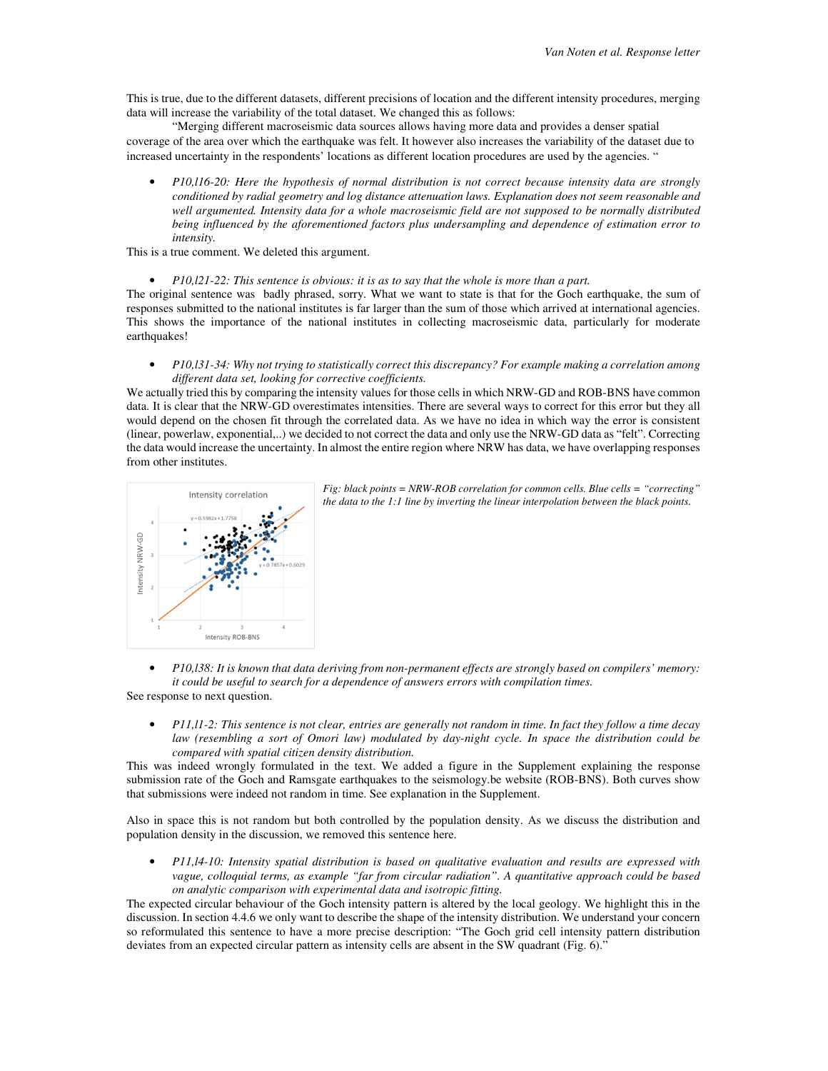This is true, due to the different datasets, different precisions of location and the different intensity procedures, merging data will increase the variability of the total dataset. We changed this as follows:

"Merging different macroseismic data sources allows having more data and provides a denser spatial coverage of the area over which the earthquake was felt. It however also increases the variability of the dataset due to increased uncertainty in the respondents' locations as different location procedures are used by the agencies. "

• *P10,l16-20: Here the hypothesis of normal distribution is not correct because intensity data are strongly conditioned by radial geometry and log distance attenuation laws. Explanation does not seem reasonable and well argumented. Intensity data for a whole macroseismic field are not supposed to be normally distributed being influenced by the aforementioned factors plus undersampling and dependence of estimation error to intensity.* 

This is a true comment. We deleted this argument.

• *P10,l21-22: This sentence is obvious: it is as to say that the whole is more than a part.* 

The original sentence was badly phrased, sorry. What we want to state is that for the Goch earthquake, the sum of responses submitted to the national institutes is far larger than the sum of those which arrived at international agencies. This shows the importance of the national institutes in collecting macroseismic data, particularly for moderate earthquakes!

• *P10,l31-34: Why not trying to statistically correct this discrepancy? For example making a correlation among different data set, looking for corrective coefficients.* 

We actually tried this by comparing the intensity values for those cells in which NRW-GD and ROB-BNS have common data. It is clear that the NRW-GD overestimates intensities. There are several ways to correct for this error but they all would depend on the chosen fit through the correlated data. As we have no idea in which way the error is consistent (linear, powerlaw, exponential,..) we decided to not correct the data and only use the NRW-GD data as "felt". Correcting the data would increase the uncertainty. In almost the entire region where NRW has data, we have overlapping responses from other institutes.



*Fig: black points = NRW-ROB correlation for common cells. Blue cells = "correcting" the data to the 1:1 line by inverting the linear interpolation between the black points.* 

- *P10,l38: It is known that data deriving from non-permanent effects are strongly based on compilers' memory: it could be useful to search for a dependence of answers errors with compilation times.*  See response to next question.
	- *P11,l1-2: This sentence is not clear, entries are generally not random in time. In fact they follow a time decay law (resembling a sort of Omori law) modulated by day-night cycle. In space the distribution could be compared with spatial citizen density distribution.*

This was indeed wrongly formulated in the text. We added a figure in the Supplement explaining the response submission rate of the Goch and Ramsgate earthquakes to the seismology.be website (ROB-BNS). Both curves show that submissions were indeed not random in time. See explanation in the Supplement.

Also in space this is not random but both controlled by the population density. As we discuss the distribution and population density in the discussion, we removed this sentence here.

• *P11,l4-10: Intensity spatial distribution is based on qualitative evaluation and results are expressed with vague, colloquial terms, as example "far from circular radiation". A quantitative approach could be based on analytic comparison with experimental data and isotropic fitting.* 

The expected circular behaviour of the Goch intensity pattern is altered by the local geology. We highlight this in the discussion. In section 4.4.6 we only want to describe the shape of the intensity distribution. We understand your concern so reformulated this sentence to have a more precise description: "The Goch grid cell intensity pattern distribution deviates from an expected circular pattern as intensity cells are absent in the SW quadrant (Fig. 6)."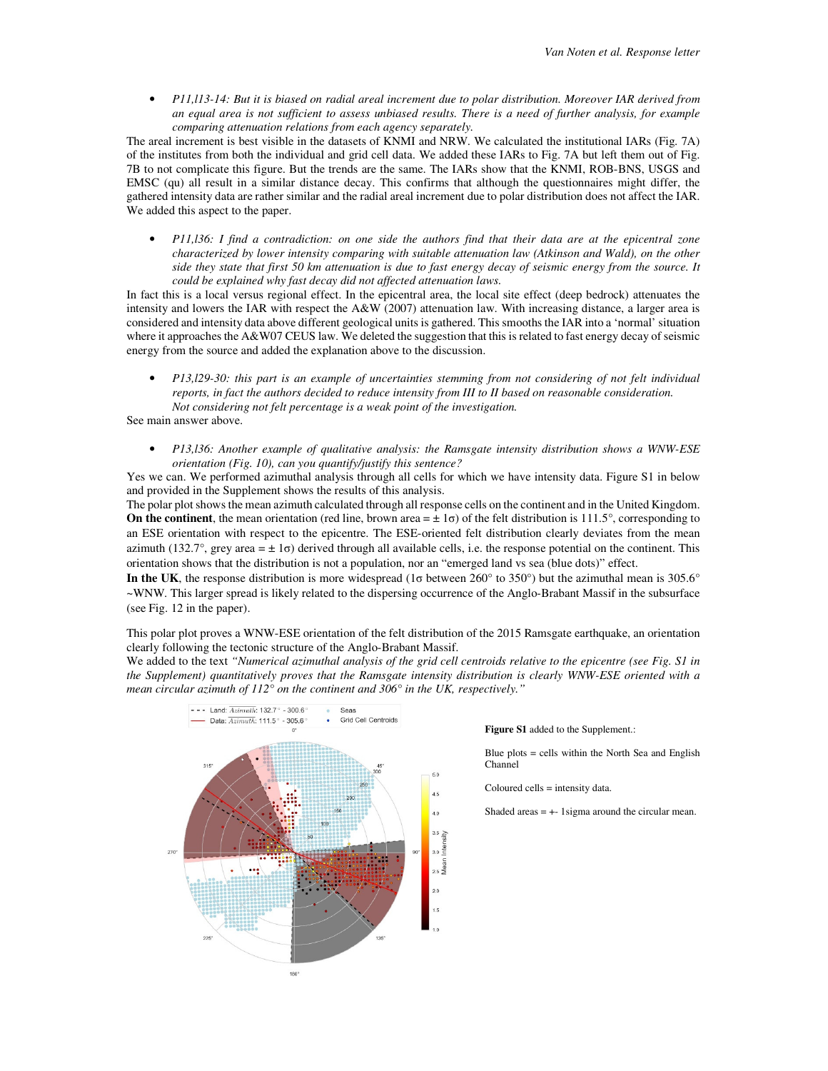• *P11,l13-14: But it is biased on radial areal increment due to polar distribution. Moreover IAR derived from an equal area is not sufficient to assess unbiased results. There is a need of further analysis, for example comparing attenuation relations from each agency separately.* 

The areal increment is best visible in the datasets of KNMI and NRW. We calculated the institutional IARs (Fig. 7A) of the institutes from both the individual and grid cell data. We added these IARs to Fig. 7A but left them out of Fig. 7B to not complicate this figure. But the trends are the same. The IARs show that the KNMI, ROB-BNS, USGS and EMSC (qu) all result in a similar distance decay. This confirms that although the questionnaires might differ, the gathered intensity data are rather similar and the radial areal increment due to polar distribution does not affect the IAR. We added this aspect to the paper.

• *P11,l36: I find a contradiction: on one side the authors find that their data are at the epicentral zone characterized by lower intensity comparing with suitable attenuation law (Atkinson and Wald), on the other side they state that first 50 km attenuation is due to fast energy decay of seismic energy from the source. It could be explained why fast decay did not affected attenuation laws.* 

In fact this is a local versus regional effect. In the epicentral area, the local site effect (deep bedrock) attenuates the intensity and lowers the IAR with respect the A&W (2007) attenuation law. With increasing distance, a larger area is considered and intensity data above different geological units is gathered. This smooths the IAR into a 'normal' situation where it approaches the A&W07 CEUS law. We deleted the suggestion that this is related to fast energy decay of seismic energy from the source and added the explanation above to the discussion.

• *P13,l29-30: this part is an example of uncertainties stemming from not considering of not felt individual reports, in fact the authors decided to reduce intensity from III to II based on reasonable consideration. Not considering not felt percentage is a weak point of the investigation.* 

See main answer above.

• *P13,l36: Another example of qualitative analysis: the Ramsgate intensity distribution shows a WNW-ESE orientation (Fig. 10), can you quantify/justify this sentence?* 

Yes we can. We performed azimuthal analysis through all cells for which we have intensity data. Figure S1 in below and provided in the Supplement shows the results of this analysis.

The polar plot shows the mean azimuth calculated through all response cells on the continent and in the United Kingdom. **On the continent**, the mean orientation (red line, brown area  $= \pm 1\sigma$ ) of the felt distribution is 111.5°, corresponding to an ESE orientation with respect to the epicentre. The ESE-oriented felt distribution clearly deviates from the mean azimuth (132.7°, grey area =  $\pm 1\sigma$ ) derived through all available cells, i.e. the response potential on the continent. This orientation shows that the distribution is not a population, nor an "emerged land vs sea (blue dots)" effect.

**In the UK**, the response distribution is more widespread (1σ between 260° to 350°) but the azimuthal mean is 305.6° ~WNW. This larger spread is likely related to the dispersing occurrence of the Anglo-Brabant Massif in the subsurface (see Fig. 12 in the paper).

This polar plot proves a WNW-ESE orientation of the felt distribution of the 2015 Ramsgate earthquake, an orientation clearly following the tectonic structure of the Anglo-Brabant Massif.

We added to the text *"Numerical azimuthal analysis of the grid cell centroids relative to the epicentre (see Fig. S1 in the Supplement) quantitatively proves that the Ramsgate intensity distribution is clearly WNW-ESE oriented with a mean circular azimuth of 112° on the continent and 306° in the UK, respectively."* 



#### **Figure S1** added to the Supplement.:

Blue plots = cells within the North Sea and English Channel

Coloured cells = intensity data.

Shaded areas  $= + - 1$  sigma around the circular mean.